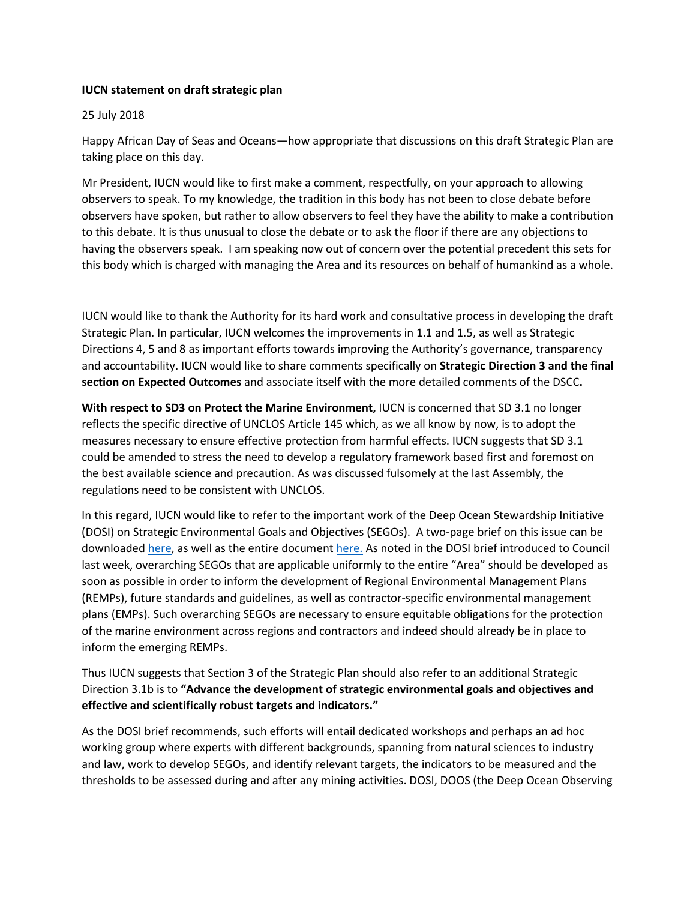## **IUCN statement on draft strategic plan**

## 25 July 2018

Happy African Day of Seas and Oceans—how appropriate that discussions on this draft Strategic Plan are taking place on this day.

Mr President, IUCN would like to first make a comment, respectfully, on your approach to allowing observers to speak. To my knowledge, the tradition in this body has not been to close debate before observers have spoken, but rather to allow observers to feel they have the ability to make a contribution to this debate. It is thus unusual to close the debate or to ask the floor if there are any objections to having the observers speak. I am speaking now out of concern over the potential precedent this sets for this body which is charged with managing the Area and its resources on behalf of humankind as a whole.

IUCN would like to thank the Authority for its hard work and consultative process in developing the draft Strategic Plan. In particular, IUCN welcomes the improvements in 1.1 and 1.5, as well as Strategic Directions 4, 5 and 8 as important efforts towards improving the Authority's governance, transparency and accountability. IUCN would like to share comments specifically on **Strategic Direction 3 and the final section on Expected Outcomes** and associate itself with the more detailed comments of the DSCC**.**

**With respect to SD3 on Protect the Marine Environment,** IUCN is concerned that SD 3.1 no longer reflects the specific directive of UNCLOS Article 145 which, as we all know by now, is to adopt the measures necessary to ensure effective protection from harmful effects. IUCN suggests that SD 3.1 could be amended to stress the need to develop a regulatory framework based first and foremost on the best available science and precaution. As was discussed fulsomely at the last Assembly, the regulations need to be consistent with UNCLOS.

In this regard, IUCN would like to refer to the important work of the Deep Ocean Stewardship Initiative (DOSI) on Strategic Environmental Goals and Objectives (SEGOs). A two-page brief on this issue can be downloaded [here,](https://www.dropbox.com/s/db8j78ik3os7lz5/DOSI%20SEGO%20BRIEF.pdf?dl=0) as well as the entire document [here.](https://www.dropbox.com/s/kv95sfzb1tsyc18/DOSI_SEGO_REPORT.pdf?dl=0) As noted in the DOSI brief introduced to Council last week, overarching SEGOs that are applicable uniformly to the entire "Area" should be developed as soon as possible in order to inform the development of Regional Environmental Management Plans (REMPs), future standards and guidelines, as well as contractor-specific environmental management plans (EMPs). Such overarching SEGOs are necessary to ensure equitable obligations for the protection of the marine environment across regions and contractors and indeed should already be in place to inform the emerging REMPs.

Thus IUCN suggests that Section 3 of the Strategic Plan should also refer to an additional Strategic Direction 3.1b is to **"Advance the development of strategic environmental goals and objectives and effective and scientifically robust targets and indicators."**

As the DOSI brief recommends, such efforts will entail dedicated workshops and perhaps an ad hoc working group where experts with different backgrounds, spanning from natural sciences to industry and law, work to develop SEGOs, and identify relevant targets, the indicators to be measured and the thresholds to be assessed during and after any mining activities. DOSI, DOOS (the Deep Ocean Observing